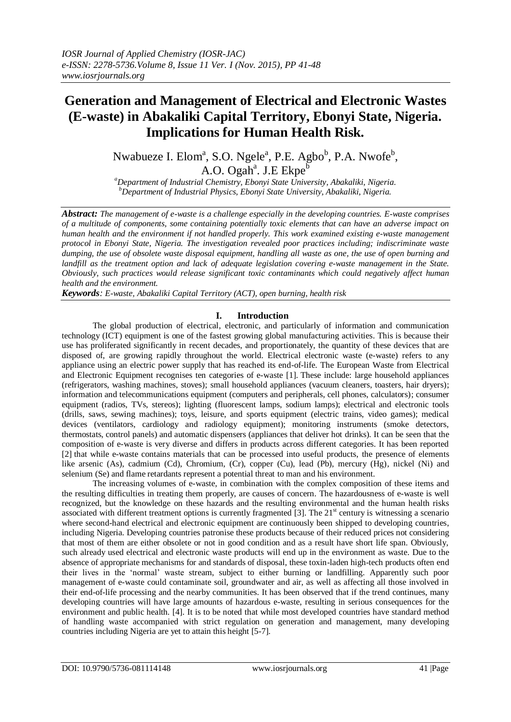# **Generation and Management of Electrical and Electronic Wastes (E-waste) in Abakaliki Capital Territory, Ebonyi State, Nigeria. Implications for Human Health Risk.**

Nwabueze I. Elom<sup>a</sup>, S.O. Ngele<sup>a</sup>, P.E. Agbo<sup>b</sup>, P.A. Nwofe<sup>b</sup>, A.O. Ogah<sup>a</sup>. J.E Ekpe<sup>b</sup>

*<sup>a</sup>Department of Industrial Chemistry, Ebonyi State University, Abakaliki, Nigeria. <sup>b</sup>Department of Industrial Physics, Ebonyi State University, Abakaliki, Nigeria.*

*Abstract: The management of e-waste is a challenge especially in the developing countries. E-waste comprises of a multitude of components, some containing potentially toxic elements that can have an adverse impact on human health and the environment if not handled properly. This work examined existing e-waste management protocol in Ebonyi State, Nigeria. The investigation revealed poor practices including; indiscriminate waste dumping, the use of obsolete waste disposal equipment, handling all waste as one, the use of open burning and landfill as the treatment option and lack of adequate legislation covering e-waste management in the State. Obviously, such practices would release significant toxic contaminants which could negatively affect human health and the environment.* 

*Keywords: E-waste, Abakaliki Capital Territory (ACT), open burning, health risk*

## **I. Introduction**

The global production of electrical, electronic, and particularly of information and communication technology (ICT) equipment is one of the fastest growing global manufacturing activities. This is because their use has proliferated significantly in recent decades, and proportionately, the quantity of these devices that are disposed of, are growing rapidly throughout the world. Electrical electronic waste (e-waste) refers to any appliance using an electric power supply that has reached its end-of-life. The European Waste from Electrical and Electronic Equipment recognises ten categories of e-waste [1]. These include: large household appliances (refrigerators, washing machines, stoves); small household appliances (vacuum cleaners, toasters, hair dryers); information and telecommunications equipment (computers and peripherals, cell phones, calculators); consumer equipment (radios, TVs, stereos); lighting (fluorescent lamps, sodium lamps); electrical and electronic tools (drills, saws, sewing machines); toys, leisure, and sports equipment (electric trains, video games); medical devices (ventilators, cardiology and radiology equipment); monitoring instruments (smoke detectors, thermostats, control panels) and automatic dispensers (appliances that deliver hot drinks). It can be seen that the composition of e-waste is very diverse and differs in products across different categories. It has been reported [2] that while e-waste contains materials that can be processed into useful products, the presence of elements like arsenic (As), cadmium (Cd), Chromium, (Cr), copper (Cu), lead (Pb), mercury (Hg), nickel (Ni) and selenium (Se) and flame retardants represent a potential threat to man and his environment.

The increasing volumes of e-waste, in combination with the complex composition of these items and the resulting difficulties in treating them properly, are causes of concern. The hazardousness of e-waste is well recognized, but the knowledge on these hazards and the resulting environmental and the human health risks associated with different treatment options is currently fragmented [3]. The  $21<sup>st</sup>$  century is witnessing a scenario where second-hand electrical and electronic equipment are continuously been shipped to developing countries, including Nigeria. Developing countries patronise these products because of their reduced prices not considering that most of them are either obsolete or not in good condition and as a result have short life span. Obviously, such already used electrical and electronic waste products will end up in the environment as waste. Due to the absence of appropriate mechanisms for and standards of disposal, these toxin-laden high-tech products often end their lives in the 'normal' waste stream, subject to either burning or landfilling. Apparently such poor management of e-waste could contaminate soil, groundwater and air, as well as affecting all those involved in their end-of-life processing and the nearby communities. It has been observed that if the trend continues, many developing countries will have large amounts of hazardous e-waste, resulting in serious consequences for the environment and public health. [4]. It is to be noted that while most developed countries have standard method of handling waste accompanied with strict regulation on generation and management, many developing countries including Nigeria are yet to attain this height [5-7].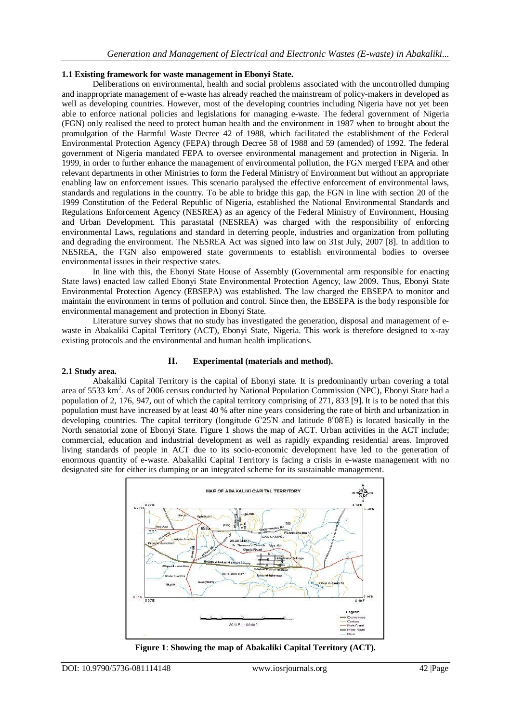## **1.1 Existing framework for waste management in Ebonyi State.**

Deliberations on environmental, health and social problems associated with the uncontrolled dumping and inappropriate management of e-waste has already reached the mainstream of policy-makers in developed as well as developing countries. However, most of the developing countries including Nigeria have not yet been able to enforce national policies and legislations for managing e-waste. The federal government of Nigeria (FGN) only realised the need to protect human health and the environment in 1987 when to brought about the promulgation of the Harmful Waste Decree 42 of 1988, which facilitated the establishment of the Federal Environmental Protection Agency (FEPA) through Decree 58 of 1988 and 59 (amended) of 1992. The federal government of Nigeria mandated FEPA to oversee environmental management and protection in Nigeria. In 1999, in order to further enhance the management of environmental pollution, the FGN merged FEPA and other relevant departments in other Ministries to form the Federal Ministry of Environment but without an appropriate enabling law on enforcement issues. This scenario paralysed the effective enforcement of environmental laws, standards and regulations in the country. To be able to bridge this gap, the FGN in line with section 20 of the 1999 Constitution of the Federal Republic of Nigeria, established the National Environmental Standards and Regulations Enforcement Agency (NESREA) as an agency of the Federal Ministry of Environment, Housing and Urban Development. This parastatal (NESREA) was charged with the responsibility of enforcing environmental Laws, regulations and standard in deterring people, industries and organization from polluting and degrading the environment. The NESREA Act was signed into law on 31st July, 2007 [8]. In addition to NESREA, the FGN also empowered state governments to establish environmental bodies to oversee environmental issues in their respective states.

In line with this, the Ebonyi State House of Assembly (Governmental arm responsible for enacting State laws) enacted law called Ebonyi State Environmental Protection Agency, law 2009. Thus, Ebonyi State Environmental Protection Agency (EBSEPA) was established. The law charged the EBSEPA to monitor and maintain the environment in terms of pollution and control. Since then, the EBSEPA is the body responsible for environmental management and protection in Ebonyi State.

Literature survey shows that no study has investigated the generation, disposal and management of ewaste in Abakaliki Capital Territory (ACT), Ebonyi State, Nigeria. This work is therefore designed to x-ray existing protocols and the environmental and human health implications.

## **II. Experimental (materials and method).**

#### **2.1 Study area.**

Abakaliki Capital Territory is the capital of Ebonyi state. It is predominantly urban covering a total area of 5533 km<sup>2</sup>. As of 2006 census conducted by National Population Commission (NPC), Ebonyi State had a population of 2, 176, 947, out of which the capital territory comprising of 271, 833 [9]. It is to be noted that this population must have increased by at least 40 % after nine years considering the rate of birth and urbanization in developing countries. The capital territory (longitude  $6^{\circ}25'N$  and latitude  $8^{\circ}08'E$ ) is located basically in the North senatorial zone of Ebonyi State. Figure 1 shows the map of ACT. Urban activities in the ACT include; commercial, education and industrial development as well as rapidly expanding residential areas. Improved living standards of people in ACT due to its socio-economic development have led to the generation of enormous quantity of e-waste. Abakaliki Capital Territory is facing a crisis in e-waste management with no designated site for either its dumping or an integrated scheme for its sustainable management.



**Figure 1**: **Showing the map of Abakaliki Capital Territory (ACT).**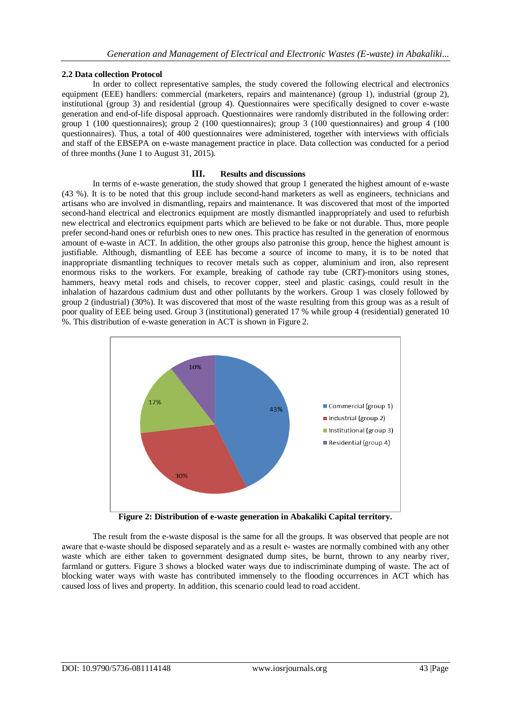## **2.2 Data collection Protocol**

In order to collect representative samples, the study covered the following electrical and electronics equipment (EEE) handlers: commercial (marketers, repairs and maintenance) (group 1), industrial (group 2), institutional (group 3) and residential (group 4). Questionnaires were specifically designed to cover e-waste generation and end-of-life disposal approach. Questionnaires were randomly distributed in the following order: group 1 (100 questionnaires); group 2 (100 questionnaires); group 3 (100 questionnaires) and group 4 (100 questionnaires). Thus, a total of 400 questionnaires were administered, together with interviews with officials and staff of the EBSEPA on e-waste management practice in place. Data collection was conducted for a period of three months (June 1 to August 31, 2015).

## **III. Results and discussions**

In terms of e-waste generation, the study showed that group 1 generated the highest amount of e-waste (43 %). It is to be noted that this group include second-hand marketers as well as engineers, technicians and artisans who are involved in dismantling, repairs and maintenance. It was discovered that most of the imported second-hand electrical and electronics equipment are mostly dismantled inappropriately and used to refurbish new electrical and electronics equipment parts which are believed to be fake or not durable. Thus, more people prefer second-hand ones or refurbish ones to new ones. This practice has resulted in the generation of enormous amount of e-waste in ACT. In addition, the other groups also patronise this group, hence the highest amount is justifiable. Although, dismantling of EEE has become a source of income to many, it is to be noted that inappropriate dismantling techniques to recover metals such as copper, aluminium and iron, also represent enormous risks to the workers. For example, breaking of cathode ray tube (CRT)-monitors using stones, hammers, heavy metal rods and chisels, to recover copper, steel and plastic casings, could result in the inhalation of hazardous cadmium dust and other pollutants by the workers. Group 1 was closely followed by group 2 (industrial) (30%). It was discovered that most of the waste resulting from this group was as a result of poor quality of EEE being used. Group 3 (institutional) generated 17 % while group 4 (residential) generated 10 %. This distribution of e-waste generation in ACT is shown in Figure 2.



**Figure 2: Distribution of e-waste generation in Abakaliki Capital territory.**

The result from the e-waste disposal is the same for all the groups. It was observed that people are not aware that e-waste should be disposed separately and as a result e- wastes are normally combined with any other waste which are either taken to government designated dump sites, be burnt, thrown to any nearby river, farmland or gutters. Figure 3 shows a blocked water ways due to indiscriminate dumping of waste. The act of blocking water ways with waste has contributed immensely to the flooding occurrences in ACT which has caused loss of lives and property. In addition, this scenario could lead to road accident.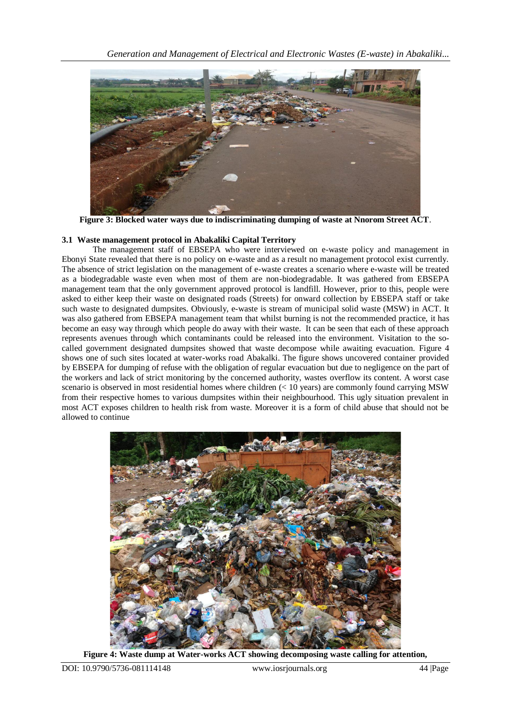

**Figure 3: Blocked water ways due to indiscriminating dumping of waste at Nnorom Street ACT**.

# **3.1 Waste management protocol in Abakaliki Capital Territory**

The management staff of EBSEPA who were interviewed on e-waste policy and management in Ebonyi State revealed that there is no policy on e-waste and as a result no management protocol exist currently. The absence of strict legislation on the management of e-waste creates a scenario where e-waste will be treated as a biodegradable waste even when most of them are non-biodegradable. It was gathered from EBSEPA management team that the only government approved protocol is landfill. However, prior to this, people were asked to either keep their waste on designated roads (Streets) for onward collection by EBSEPA staff or take such waste to designated dumpsites. Obviously, e-waste is stream of municipal solid waste (MSW) in ACT. It was also gathered from EBSEPA management team that whilst burning is not the recommended practice, it has become an easy way through which people do away with their waste. It can be seen that each of these approach represents avenues through which contaminants could be released into the environment. Visitation to the socalled government designated dumpsites showed that waste decompose while awaiting evacuation. Figure 4 shows one of such sites located at water-works road Abakalki. The figure shows uncovered container provided by EBSEPA for dumping of refuse with the obligation of regular evacuation but due to negligence on the part of the workers and lack of strict monitoring by the concerned authority, wastes overflow its content. A worst case scenario is observed in most residential homes where children (< 10 years) are commonly found carrying MSW from their respective homes to various dumpsites within their neighbourhood. This ugly situation prevalent in most ACT exposes children to health risk from waste. Moreover it is a form of child abuse that should not be allowed to continue



**Figure 4: Waste dump at Water-works ACT showing decomposing waste calling for attention,**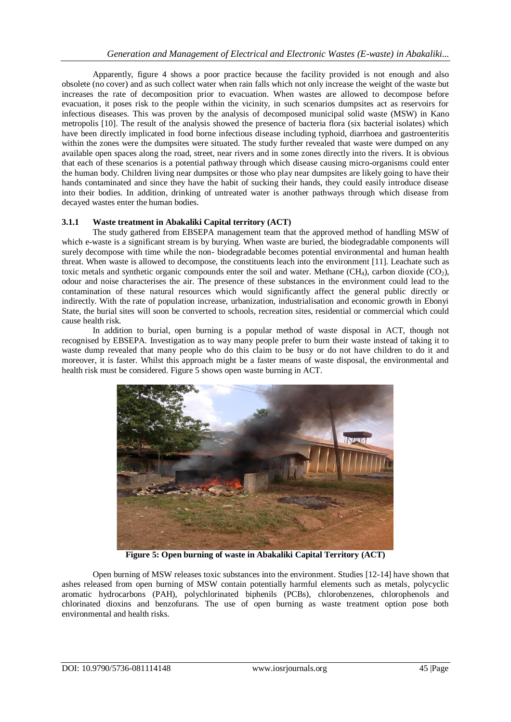Apparently, figure 4 shows a poor practice because the facility provided is not enough and also obsolete (no cover) and as such collect water when rain falls which not only increase the weight of the waste but increases the rate of decomposition prior to evacuation. When wastes are allowed to decompose before evacuation, it poses risk to the people within the vicinity, in such scenarios dumpsites act as reservoirs for infectious diseases. This was proven by the analysis of decomposed municipal solid waste (MSW) in Kano metropolis [10]. The result of the analysis showed the presence of bacteria flora (six bacterial isolates) which have been directly implicated in food borne infectious disease including typhoid, diarrhoea and gastroenteritis within the zones were the dumpsites were situated. The study further revealed that waste were dumped on any available open spaces along the road, street, near rivers and in some zones directly into the rivers. It is obvious that each of these scenarios is a potential pathway through which disease causing micro-organisms could enter the human body. Children living near dumpsites or those who play near dumpsites are likely going to have their hands contaminated and since they have the habit of sucking their hands, they could easily introduce disease into their bodies. In addition, drinking of untreated water is another pathways through which disease from decayed wastes enter the human bodies.

## **3.1.1 Waste treatment in Abakaliki Capital territory (ACT)**

The study gathered from EBSEPA management team that the approved method of handling MSW of which e-waste is a significant stream is by burying. When waste are buried, the biodegradable components will surely decompose with time while the non- biodegradable becomes potential environmental and human health threat. When waste is allowed to decompose, the constituents leach into the environment [11]. Leachate such as toxic metals and synthetic organic compounds enter the soil and water. Methane  $(CH_4)$ , carbon dioxide  $(CO_2)$ , odour and noise characterises the air. The presence of these substances in the environment could lead to the contamination of these natural resources which would significantly affect the general public directly or indirectly. With the rate of population increase, urbanization, industrialisation and economic growth in Ebonyi State, the burial sites will soon be converted to schools, recreation sites, residential or commercial which could cause health risk.

In addition to burial, open burning is a popular method of waste disposal in ACT, though not recognised by EBSEPA. Investigation as to way many people prefer to burn their waste instead of taking it to waste dump revealed that many people who do this claim to be busy or do not have children to do it and moreover, it is faster. Whilst this approach might be a faster means of waste disposal, the environmental and health risk must be considered. Figure 5 shows open waste burning in ACT.



**Figure 5: Open burning of waste in Abakaliki Capital Territory (ACT)**

Open burning of MSW releases toxic substances into the environment. Studies [12-14] have shown that ashes released from open burning of MSW contain potentially harmful elements such as metals, polycyclic aromatic hydrocarbons (PAH), polychlorinated biphenils (PCBs), chlorobenzenes, chlorophenols and chlorinated dioxins and benzofurans. The use of open burning as waste treatment option pose both environmental and health risks.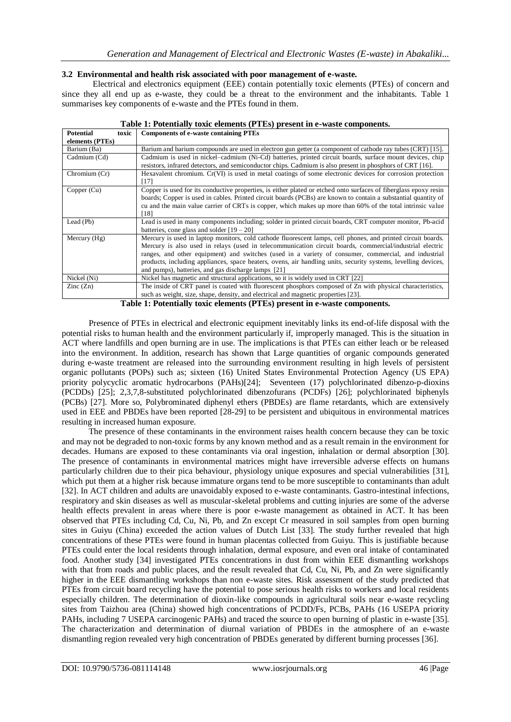## **3.2 Environmental and health risk associated with poor management of e-waste.**

Electrical and electronics equipment (EEE) contain potentially toxic elements (PTEs) of concern and since they all end up as e-waste, they could be a threat to the environment and the inhabitants. Table 1 summarises key components of e-waste and the PTEs found in them.

| <b>Potential</b><br>toxic | <b>Components of e-waste containing PTEs</b>                                                                                                                                                                                                                                                                                                                                                                                                                                                              |  |  |  |
|---------------------------|-----------------------------------------------------------------------------------------------------------------------------------------------------------------------------------------------------------------------------------------------------------------------------------------------------------------------------------------------------------------------------------------------------------------------------------------------------------------------------------------------------------|--|--|--|
| elements (PTEs)           |                                                                                                                                                                                                                                                                                                                                                                                                                                                                                                           |  |  |  |
| Barium (Ba)               | Barium and barium compounds are used in electron gun getter (a component of cathode ray tubes (CRT) [15].                                                                                                                                                                                                                                                                                                                                                                                                 |  |  |  |
| Cadmium (Cd)              | Cadmium is used in nickel–cadmium (Ni-Cd) batteries, printed circuit boards, surface mount devices, chip<br>resistors, infrared detectors, and semiconductor chips. Cadmium is also present in phosphors of CRT [16].                                                                                                                                                                                                                                                                                     |  |  |  |
| Chromium (Cr)             | Hexavalent chromium. Cr(VI) is used in metal coatings of some electronic devices for corrosion protection<br>[17]                                                                                                                                                                                                                                                                                                                                                                                         |  |  |  |
| Copper (Cu)               | Copper is used for its conductive properties, is either plated or etched onto surfaces of fiberglass epoxy resin<br>boards; Copper is used in cables. Printed circuit boards (PCBs) are known to contain a substantial quantity of<br>cu and the main value carrier of CRTs is copper, which makes up more than 60% of the total intrinsic value<br>[18]                                                                                                                                                  |  |  |  |
| Lead (Pb)                 | Lead is used in many components including; solder in printed circuit boards, CRT computer monitor, Pb-acid<br>batteries, cone glass and solder $[19 - 20]$                                                                                                                                                                                                                                                                                                                                                |  |  |  |
| Mercury $(Hg)$            | Mercury is used in laptop monitors, cold cathode fluorescent lamps, cell phones, and printed circuit boards.<br>Mercury is also used in relays (used in telecommunication circuit boards, commercial/industrial electric<br>ranges, and other equipment) and switches (used in a variety of consumer, commercial, and industrial<br>products, including appliances, space heaters, ovens, air handling units, security systems, levelling devices,<br>and pumps), batteries, and gas discharge lamps [21] |  |  |  |
| Nickel (Ni)               | Nickel has magnetic and structural applications, so it is widely used in CRT [22]                                                                                                                                                                                                                                                                                                                                                                                                                         |  |  |  |
| $\text{Zinc}(\text{Zn})$  | The inside of CRT panel is coated with fluorescent phosphors composed of Zn with physical characteristics,<br>such as weight, size, shape, density, and electrical and magnetic properties [23].                                                                                                                                                                                                                                                                                                          |  |  |  |

| Table 1: Potentially toxic elements (PTEs) present in e-waste components. |  |  |  |  |
|---------------------------------------------------------------------------|--|--|--|--|
|---------------------------------------------------------------------------|--|--|--|--|

**Table 1: Potentially toxic elements (PTEs) present in e-waste components.**

Presence of PTEs in electrical and electronic equipment inevitably links its end-of-life disposal with the potential risks to human health and the environment particularly if, improperly managed. This is the situation in ACT where landfills and open burning are in use. The implications is that PTEs can either leach or be released into the environment. In addition, research has shown that Large quantities of organic compounds generated during e-waste treatment are released into the surrounding environment resulting in high levels of persistent organic pollutants (POPs) such as; sixteen (16) United States Environmental Protection Agency (US EPA) priority polycyclic aromatic hydrocarbons (PAHs)[24]; Seventeen (17) polychlorinated dibenzo-p-dioxins (PCDDs) [25]; 2,3,7,8-substituted polychlorinated dibenzofurans (PCDFs) [26]; polychlorinated biphenyls (PCBs) [27]. More so, Polybrominated diphenyl ethers (PBDEs) are flame retardants, which are extensively used in EEE and PBDEs have been reported [28-29] to be persistent and ubiquitous in environmental matrices resulting in increased human exposure.

The presence of these contaminants in the environment raises health concern because they can be toxic and may not be degraded to non-toxic forms by any known method and as a result remain in the environment for decades. Humans are exposed to these contaminants via oral ingestion, inhalation or dermal absorption [30]. The presence of contaminants in environmental matrices might have irreversible adverse effects on humans particularly children due to their pica behaviour, physiology unique exposures and special vulnerabilities [31], which put them at a higher risk because immature organs tend to be more susceptible to contaminants than adult [32]. In ACT children and adults are unavoidably exposed to e-waste contaminants. Gastro-intestinal infections, respiratory and skin diseases as well as muscular-skeletal problems and cutting injuries are some of the adverse health effects prevalent in areas where there is poor e-waste management as obtained in ACT. It has been observed that PTEs including Cd, Cu, Ni, Pb, and Zn except Cr measured in soil samples from open burning sites in Guiyu (China) exceeded the action values of Dutch List [33]. The study further revealed that high concentrations of these PTEs were found in human placentas collected from Guiyu. This is justifiable because PTEs could enter the local residents through inhalation, dermal exposure, and even oral intake of contaminated food. Another study [34] investigated PTEs concentrations in dust from within EEE dismantling workshops with that from roads and public places, and the result revealed that Cd, Cu, Ni, Pb, and Zn were significantly higher in the EEE dismantling workshops than non e-waste sites. Risk assessment of the study predicted that PTEs from circuit board recycling have the potential to pose serious health risks to workers and local residents especially children. The determination of dioxin-like compounds in agricultural soils near e-waste recycling sites from Taizhou area (China) showed high concentrations of PCDD/Fs, PCBs, PAHs (16 USEPA priority PAHs, including 7 USEPA carcinogenic PAHs) and traced the source to open burning of plastic in e-waste [35]. The characterization and determination of diurnal variation of PBDEs in the atmosphere of an e-waste dismantling region revealed very high concentration of PBDEs generated by different burning processes [36].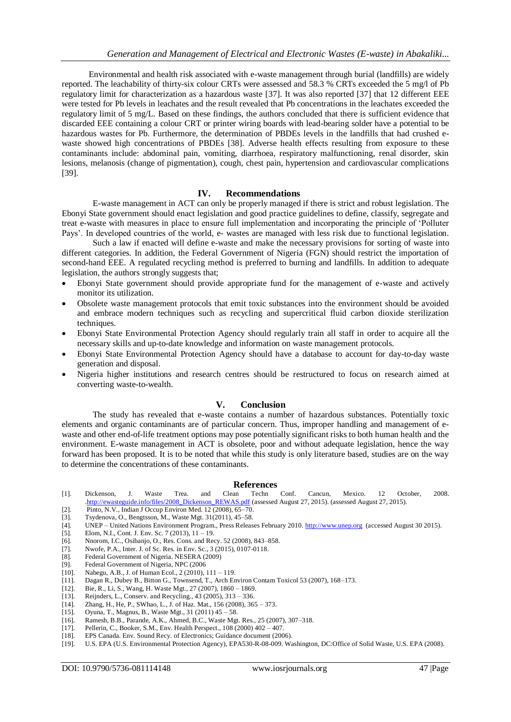Environmental and health risk associated with e-waste management through burial (landfills) are widely reported. The leachability of thirty-six colour CRTs were assessed and 58.3 % CRTs exceeded the 5 mg/l of Pb regulatory limit for characterization as a hazardous waste [37]. It was also reported [37] that 12 different EEE were tested for Pb levels in leachates and the result revealed that Pb concentrations in the leachates exceeded the regulatory limit of 5 mg/L. Based on these findings, the authors concluded that there is sufficient evidence that discarded EEE containing a colour CRT or printer wiring boards with lead-bearing solder have a potential to be hazardous wastes for Pb. Furthermore, the determination of PBDEs levels in the landfills that had crushed ewaste showed high concentrations of PBDEs [38]. Adverse health effects resulting from exposure to these contaminants include: abdominal pain, vomiting, diarrhoea, respiratory malfunctioning, renal disorder, skin lesions, melanosis (change of pigmentation), cough, chest pain, hypertension and cardiovascular complications [39].

#### **IV. Recommendations**

E-waste management in ACT can only be properly managed if there is strict and robust legislation. The Ebonyi State government should enact legislation and good practice guidelines to define, classify, segregate and treat e-waste with measures in place to ensure full implementation and incorporating the principle of 'Polluter Pays'. In developed countries of the world, e- wastes are managed with less risk due to functional legislation.

Such a law if enacted will define e-waste and make the necessary provisions for sorting of waste into different categories. In addition, the Federal Government of Nigeria (FGN) should restrict the importation of second-hand EEE. A regulated recycling method is preferred to burning and landfills. In addition to adequate legislation, the authors strongly suggests that;

- Ebonyi State government should provide appropriate fund for the management of e-waste and actively monitor its utilization.
- Obsolete waste management protocols that emit toxic substances into the environment should be avoided and embrace modern techniques such as recycling and supercritical fluid carbon dioxide sterilization techniques.
- Ebonyi State Environmental Protection Agency should regularly train all staff in order to acquire all the necessary skills and up-to-date knowledge and information on waste management protocols.
- Ebonyi State Environmental Protection Agency should have a database to account for day-to-day waste generation and disposal.
- Nigeria higher institutions and research centres should be restructured to focus on research aimed at converting waste-to-wealth.

#### **V. Conclusion**

The study has revealed that e-waste contains a number of hazardous substances. Potentially toxic elements and organic contaminants are of particular concern. Thus, improper handling and management of ewaste and other end-of-life treatment options may pose potentially significant risks to both human health and the environment. E-waste management in ACT is obsolete, poor and without adequate legislation, hence the way forward has been proposed. It is to be noted that while this study is only literature based, studies are on the way to determine the concentrations of these contaminants.

#### **References**

- [1]. Dickenson, J. Waste Trea. and Clean Techn Conf. Cancun, Mexico. 12 October, 2008. [.http://ewasteguide.info/files/2008\\_Dickenson\\_REWAS.pdf](http://ewasteguide.info/files/2008_Dickenson_REWAS.pdf) (assessed August 27, 2015). (assessed August 27, 2015).
- [2]. Pinto, N.V., Indian J Occup Environ Med. 12 (2008), 65–70.<br>[3]. Tsydenova, O., Bengtsson, M., Waste Mgt. 31(2011), 45–58. [3]. Tsydenova, O., Bengtsson, M., Waste Mgt. 31(2011), 45–58.
- [4]. UNEP United Nations Environment Program., Press Releases February 2010[. http://www.unep.org](http://www.unep.org/) (accessed August 30 2015).
- [5]. Elom, N.I., Cont. J. Env. Sc. 7 (2013), 11 19.
- [6]. Nnorom, I.C., Osibanjo, O., Res. Cons. and Recy. 52 (2008), 843–858.
- [7]. Nwofe, P.A., Inter. J. of Sc. Res. in Env. Sc., 3 (2015), 0107-0118.
- [8]. Federal Government of Nigeria. NESERA (2009)
- [9]. Federal Government of Nigeria, NPC (2006
- [10]. Nabegu, A.B., J. of Human Ecol., 2 (2010), 111 119.
- [11]. Dagan R., Dubey B., Bitton G., Townsend, T., Arch Environ Contam Toxicol 53 (2007), 168–173.
- [12]. Bie, R., Li, S., Wang, H. Waste Mgt., 27 (2007), 1860 1869.
- [13]. Reijnders, L., Conserv. and Recycling., 43 (2005), 313 336.<br>[14]. Zhang, H., He, P., SWhao, L., J. of Haz. Mat., 156 (2008), 36.
- Zhang, H., He, P., SWhao, L., J. of Haz. Mat., 156 (2008), 365 373.
- [15]. Oyuna, T., Magnus, B., Waste Mgt., 31 (2011) 45 58.
- [16]. Ramesh, B.B., Parande, A.K., Ahmed, B.C., Waste Mgt. Res., 25 (2007), 307–318.
- [17]. Pellerin, C., Booker, S.M., Env. Health Perspect., 108 (2000) 402 407.
- [18]. EPS Canada. Env. Sound Recy. of Electronics: Guidance document (2006).
- [19]. U.S. EPA (U.S. Environmental Protection Agency), EPA530-R-08-009. Washington, DC:Office of Solid Waste, U.S. EPA (2008).